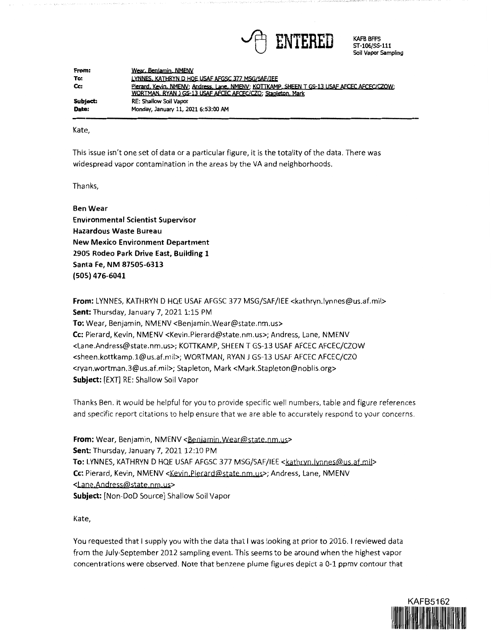

KAFB BFFS ST-106/55-111 Soil Vapor Sampling

| From:    | Wear, Benjamin, NMENV                                                                       |
|----------|---------------------------------------------------------------------------------------------|
| To:      | LYNNES, KATHRYN D. HOE USAF AFGSC 377 MSG/SAF/IEE                                           |
| Cc:      | Pierard, Kevin, NMENV; Andress, Lane, NMENV; KOTTKAMP, SHEEN T GS-13 USAF AFCEC AFCEC/CZOW; |
|          | WORTMAN, RYAN J GS-13 USAF AFCEC AFCEC/CZO; Stapleton, Mark                                 |
| Subject: | <b>RE: Shallow Soil Vapor</b>                                                               |
| Date:    | Monday, January 11, 2021 6:53:00 AM                                                         |

Kate,

This issue isn't one set of data or a particular figure, it is the totality of the data. There was widespread vapor contamination in the areas by the VA and neighborhoods.

Thanks,

**Ben Wear Environmental Scientist Supervisor Hazardous Waste Bureau New Mexico Environment Department 2905 Rodeo Park Drive East, Building 1 Santa Fe, NM 87505-6313 (505) 476-6041** 

**From:** LYNNES, KATHRYN D HQE USAF AFGSC 377 MSG/SAF/IEE <kathryn.lynnes@us.af.mil> **Sent:** Thursday, January 7, 2021 1:15 PM **To:** Wear, Benjamin, NMENV <Benjamin.Wear@state.nm.us> **Cc:** Pierard, Kevin, NMENV <Kevin.Pierard@state.nm.us>; Andress, Lane, NMENV <Lane.Andress@state.nm.us>; KOTTKAMP, SHEEN T GS-13 USAF AFCEC AFCEC/CZOW <sheen.kottkamp.l@us.af.mil>; WORTMAN, RYAN J GS-13 USAF AFCEC AFCEC/CZO <ryan.wortman.3@us.af.mil>; Stapleton, Mark <Mark.Stapleton@noblis.org> **Subject:** [EXT] RE: Shallow Soil Vapor

Thanks Ben. It would be helpful for you to provide specific well numbers, table and figure references and specific report citations to help ensure that we are able to accurately respond to your concerns.

From: Wear, Benjamin, NMENV <Benjamin, Wear@state.nm.us> **Sent:** Thursday, January 7, 2021 12:10 PM To: LYNNES, KATHRYN D HQE USAF AFGSC 377 MSG/SAF/IEE <kathryn.lynnes@us.af.mil> Cc: Pierard, Kevin, NMENV <Kevin.Pierard@state.nm.us>; Andress, Lane, NMENV <Lane.Andress@state.nm.us> **Subject:** [Non-DoD Source] Shallow Soil Vapor

Kate,

You requested that I supply you with the data that I was looking at prior to 2016. I reviewed data from the July-September 2012 sampling event. This seems to be around when the highest vapor concentrations were observed. Note that benzene plume figures depict a 0-1 ppmv contour that